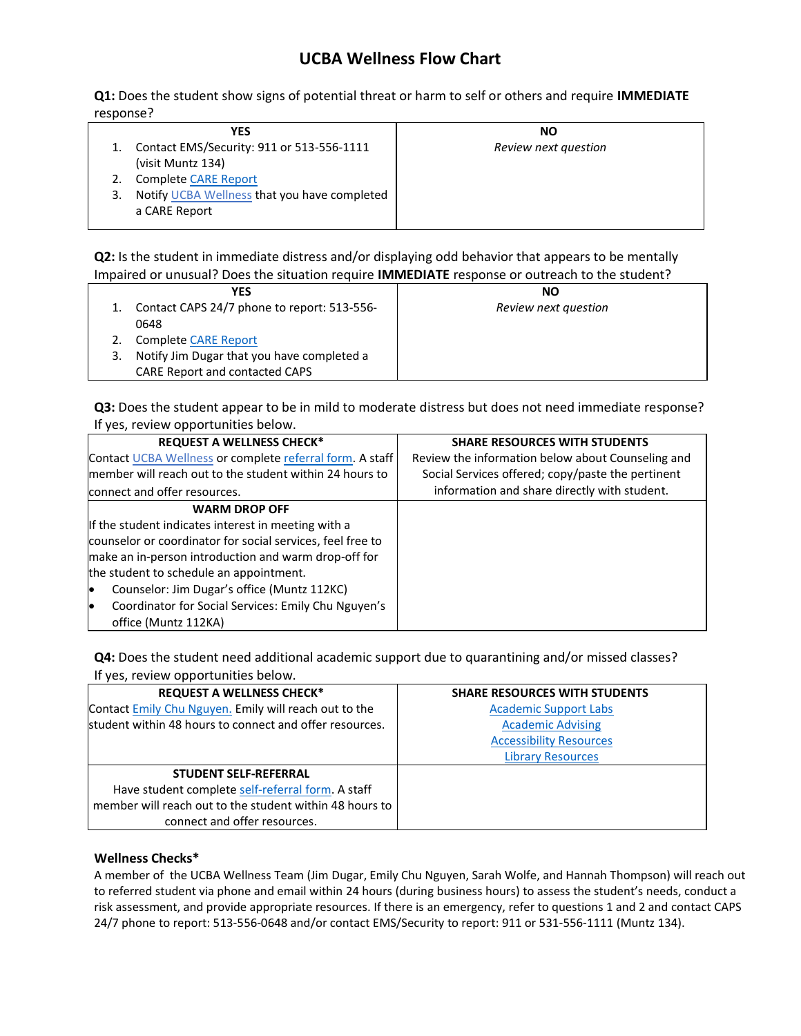## **UCBA Wellness Flow Chart**

**Q1:** Does the student show signs of potential threat or harm to self or others and require **IMMEDIATE**  response?

| YES                                          | <b>NO</b>            |
|----------------------------------------------|----------------------|
| Contact EMS/Security: 911 or 513-556-1111    | Review next question |
| (visit Muntz 134)                            |                      |
| <b>Complete CARE Report</b>                  |                      |
| Notify UCBA Wellness that you have completed |                      |
| a CARE Report                                |                      |
|                                              |                      |

**Q2:** Is the student in immediate distress and/or displaying odd behavior that appears to be mentally Impaired or unusual? Does the situation require **IMMEDIATE** response or outreach to the student?

| <b>YES</b>                                  | <b>NO</b>            |
|---------------------------------------------|----------------------|
| Contact CAPS 24/7 phone to report: 513-556- | Review next question |
| 0648                                        |                      |
| <b>Complete CARE Report</b>                 |                      |
| Notify Jim Dugar that you have completed a  |                      |
| <b>CARE Report and contacted CAPS</b>       |                      |

**Q3:** Does the student appear to be in mild to moderate distress but does not need immediate response? If yes, review opportunities below.

| <b>REQUEST A WELLNESS CHECK*</b>                           | <b>SHARE RESOURCES WITH STUDENTS</b>              |
|------------------------------------------------------------|---------------------------------------------------|
| Contact UCBA Wellness or complete referral form. A staff   | Review the information below about Counseling and |
| member will reach out to the student within 24 hours to    | Social Services offered; copy/paste the pertinent |
| connect and offer resources.                               | information and share directly with student.      |
| <b>WARM DROP OFF</b>                                       |                                                   |
| If the student indicates interest in meeting with a        |                                                   |
| counselor or coordinator for social services, feel free to |                                                   |
| make an in-person introduction and warm drop-off for       |                                                   |
| the student to schedule an appointment.                    |                                                   |
| Counselor: Jim Dugar's office (Muntz 112KC)<br>lo          |                                                   |
| Coordinator for Social Services: Emily Chu Nguyen's<br>lo  |                                                   |
| office (Muntz 112KA)                                       |                                                   |

**Q4:** Does the student need additional academic support due to quarantining and/or missed classes? If yes, review opportunities below.

| <b>REQUEST A WELLNESS CHECK*</b>                        | <b>SHARE RESOURCES WITH STUDENTS</b> |
|---------------------------------------------------------|--------------------------------------|
| Contact Emily Chu Nguyen. Emily will reach out to the   | <b>Academic Support Labs</b>         |
| student within 48 hours to connect and offer resources. | <b>Academic Advising</b>             |
|                                                         | <b>Accessibility Resources</b>       |
|                                                         | <b>Library Resources</b>             |
| <b>STUDENT SELF-REFERRAL</b>                            |                                      |
| Have student complete self-referral form. A staff       |                                      |
| member will reach out to the student within 48 hours to |                                      |
| connect and offer resources.                            |                                      |

## **Wellness Checks\***

A member of the UCBA Wellness Team (Jim Dugar, Emily Chu Nguyen, Sarah Wolfe, and Hannah Thompson) will reach out to referred student via phone and email within 24 hours (during business hours) to assess the student's needs, conduct a risk assessment, and provide appropriate resources. If there is an emergency, refer to questions 1 and 2 and contact CAPS 24/7 phone to report: 513-556-0648 and/or contact EMS/Security to report: 911 or 531-556-1111 (Muntz 134).